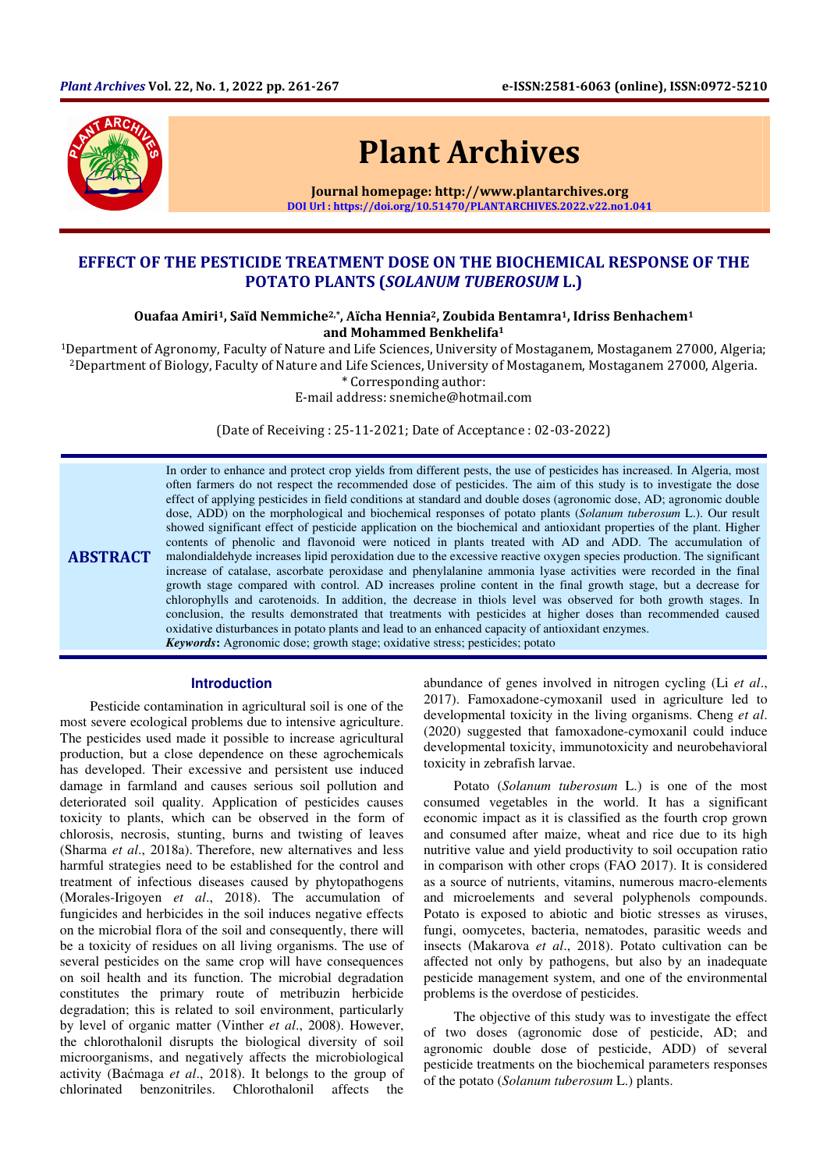

# Plant Archives

Journal homepage: http://www.plantarchives.org DOI Url : https://doi.org/10.51470/PLANTARCHIVES.2022.v22.no1.041

# EFFECT OF THE PESTICIDE TREATMENT DOSE ON THE BIOCHEMICAL RESPONSE OF THE POTATO PLANTS (SOLANUM TUBEROSUM L.)

Ouafaa Amiri<sup>1</sup>, Saïd Nemmiche<sup>2,\*</sup>, Aïcha Hennia<sup>2</sup>, Zoubida Bentamra<sup>1</sup>, Idriss Benhachem<sup>1</sup> and Mohammed Benkhelifa<sup>1</sup>

<sup>1</sup>Department of Agronomy, Faculty of Nature and Life Sciences, University of Mostaganem, Mostaganem 27000, Algeria; <sup>2</sup>Department of Biology, Faculty of Nature and Life Sciences, University of Mostaganem, Mostaganem 27000, Algeria.

\* Corresponding author:

E-mail address: snemiche@hotmail.com

(Date of Receiving : 25-11-2021; Date of Acceptance : 02-03-2022)

**ABSTRACT** In order to enhance and protect crop yields from different pests, the use of pesticides has increased. In Algeria, most often farmers do not respect the recommended dose of pesticides. The aim of this study is to investigate the dose effect of applying pesticides in field conditions at standard and double doses (agronomic dose, AD; agronomic double dose, ADD) on the morphological and biochemical responses of potato plants (*Solanum tuberosum* L.). Our result showed significant effect of pesticide application on the biochemical and antioxidant properties of the plant. Higher contents of phenolic and flavonoid were noticed in plants treated with AD and ADD. The accumulation of malondialdehyde increases lipid peroxidation due to the excessive reactive oxygen species production. The significant increase of catalase, ascorbate peroxidase and phenylalanine ammonia lyase activities were recorded in the final growth stage compared with control. AD increases proline content in the final growth stage, but a decrease for chlorophylls and carotenoids. In addition, the decrease in thiols level was observed for both growth stages. In conclusion, the results demonstrated that treatments with pesticides at higher doses than recommended caused oxidative disturbances in potato plants and lead to an enhanced capacity of antioxidant enzymes. *Keywords***:** Agronomic dose; growth stage; oxidative stress; pesticides; potato

# **Introduction**

Pesticide contamination in agricultural soil is one of the most severe ecological problems due to intensive agriculture. The pesticides used made it possible to increase agricultural production, but a close dependence on these agrochemicals has developed. Their excessive and persistent use induced damage in farmland and causes serious soil pollution and deteriorated soil quality. Application of pesticides causes toxicity to plants, which can be observed in the form of chlorosis, necrosis, stunting, burns and twisting of leaves (Sharma *et al*., 2018a). Therefore, new alternatives and less harmful strategies need to be established for the control and treatment of infectious diseases caused by phytopathogens (Morales-Irigoyen *et al*., 2018). The accumulation of fungicides and herbicides in the soil induces negative effects on the microbial flora of the soil and consequently, there will be a toxicity of residues on all living organisms. The use of several pesticides on the same crop will have consequences on soil health and its function. The microbial degradation constitutes the primary route of metribuzin herbicide degradation; this is related to soil environment, particularly by level of organic matter (Vinther *et al*., 2008). However, the chlorothalonil disrupts the biological diversity of soil microorganisms, and negatively affects the microbiological activity (Baćmaga *et al*., 2018). It belongs to the group of chlorinated benzonitriles. Chlorothalonil affects the

abundance of genes involved in nitrogen cycling (Li *et al*., 2017). Famoxadone-cymoxanil used in agriculture led to developmental toxicity in the living organisms. Cheng *et al*. (2020) suggested that famoxadone-cymoxanil could induce developmental toxicity, immunotoxicity and neurobehavioral toxicity in zebrafish larvae.

Potato (*Solanum tuberosum* L.) is one of the most consumed vegetables in the world. It has a significant economic impact as it is classified as the fourth crop grown and consumed after maize, wheat and rice due to its high nutritive value and yield productivity to soil occupation ratio in comparison with other crops (FAO 2017). It is considered as a source of nutrients, vitamins, numerous macro-elements and microelements and several polyphenols compounds. Potato is exposed to abiotic and biotic stresses as viruses, fungi, oomycetes, bacteria, nematodes, parasitic weeds and insects (Makarova *et al*., 2018). Potato cultivation can be affected not only by pathogens, but also by an inadequate pesticide management system, and one of the environmental problems is the overdose of pesticides.

The objective of this study was to investigate the effect of two doses (agronomic dose of pesticide, AD; and agronomic double dose of pesticide, ADD) of several pesticide treatments on the biochemical parameters responses of the potato (*Solanum tuberosum* L.) plants.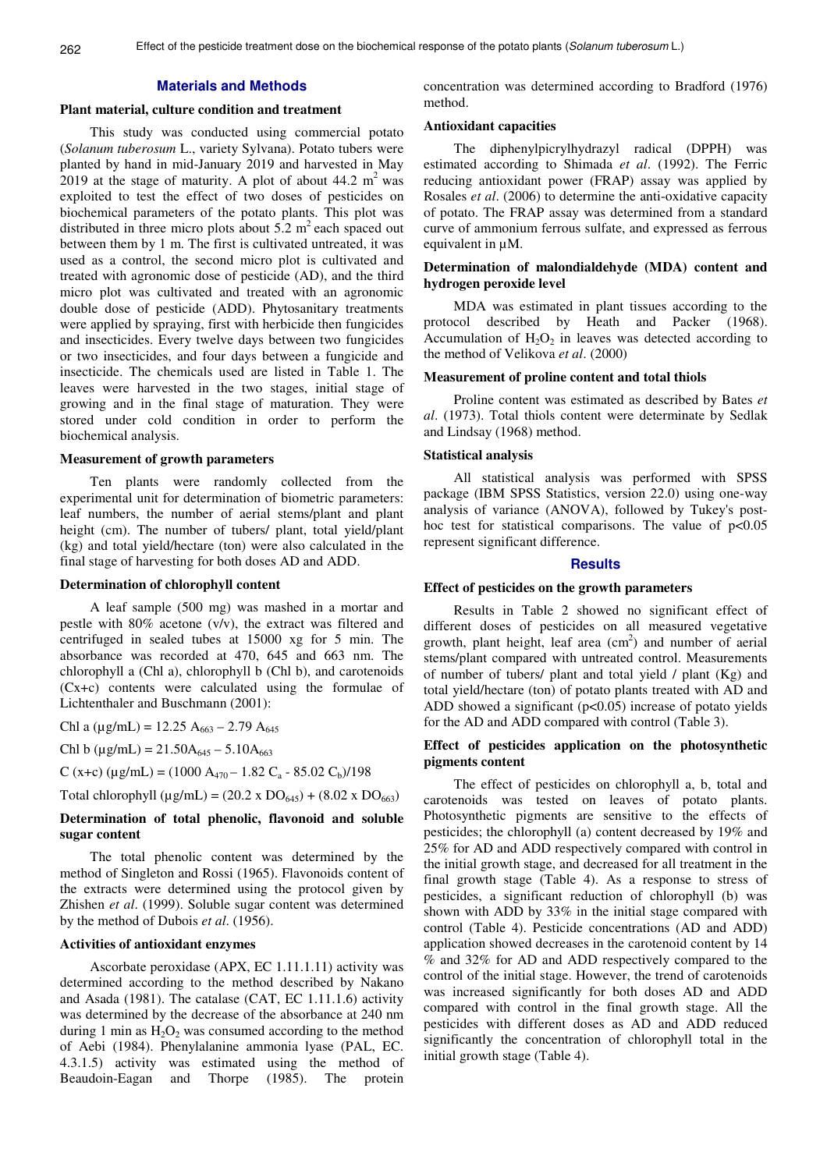## **Materials and Methods**

#### **Plant material, culture condition and treatment**

This study was conducted using commercial potato (*Solanum tuberosum* L., variety Sylvana). Potato tubers were planted by hand in mid-January 2019 and harvested in May 2019 at the stage of maturity. A plot of about  $44.2 \text{ m}^2$  was exploited to test the effect of two doses of pesticides on biochemical parameters of the potato plants. This plot was distributed in three micro plots about  $5.2 \text{ m}^2$  each spaced out between them by 1 m. The first is cultivated untreated, it was used as a control, the second micro plot is cultivated and treated with agronomic dose of pesticide (AD), and the third micro plot was cultivated and treated with an agronomic double dose of pesticide (ADD). Phytosanitary treatments were applied by spraying, first with herbicide then fungicides and insecticides. Every twelve days between two fungicides or two insecticides, and four days between a fungicide and insecticide. The chemicals used are listed in Table 1. The leaves were harvested in the two stages, initial stage of growing and in the final stage of maturation. They were stored under cold condition in order to perform the biochemical analysis.

#### **Measurement of growth parameters**

Ten plants were randomly collected from the experimental unit for determination of biometric parameters: leaf numbers, the number of aerial stems/plant and plant height (cm). The number of tubers/ plant, total yield/plant (kg) and total yield/hectare (ton) were also calculated in the final stage of harvesting for both doses AD and ADD.

# **Determination of chlorophyll content**

A leaf sample (500 mg) was mashed in a mortar and pestle with 80% acetone (v/v), the extract was filtered and centrifuged in sealed tubes at 15000 xg for 5 min. The absorbance was recorded at 470, 645 and 663 nm. The chlorophyll a (Chl a), chlorophyll b (Chl b), and carotenoids (Cx+c) contents were calculated using the formulae of Lichtenthaler and Buschmann (2001):

Chl a ( $\mu$ g/mL) = 12.25 A<sub>663</sub> – 2.79 A<sub>645</sub>

Chl b ( $\mu$ g/mL) = 21.50A<sub>645</sub> – 5.10A<sub>663</sub>

C (x+c) ( $\mu$ g/mL) = (1000 A<sub>470</sub> – 1.82 C<sub>a</sub> - 85.02 C<sub>b</sub>)/198

Total chlorophyll ( $\mu$ g/mL) = (20.2 x DO<sub>645</sub>) + (8.02 x DO<sub>663</sub>)

### **Determination of total phenolic, flavonoid and soluble sugar content**

The total phenolic content was determined by the method of Singleton and Rossi (1965). Flavonoids content of the extracts were determined using the protocol given by Zhishen *et al*. (1999). Soluble sugar content was determined by the method of Dubois *et al*. (1956).

#### **Activities of antioxidant enzymes**

Ascorbate peroxidase (APX, EC 1.11.1.11) activity was determined according to the method described by Nakano and Asada (1981). The catalase (CAT, EC 1.11.1.6) activity was determined by the decrease of the absorbance at 240 nm during 1 min as  $H_2O_2$  was consumed according to the method of Aebi (1984). Phenylalanine ammonia lyase (PAL, EC. 4.3.1.5) activity was estimated using the method of Beaudoin-Eagan and Thorpe (1985). The protein

concentration was determined according to Bradford (1976) method.

#### **Antioxidant capacities**

The diphenylpicrylhydrazyl radical (DPPH) was estimated according to Shimada *et al*. (1992). The Ferric reducing antioxidant power (FRAP) assay was applied by Rosales *et al*. (2006) to determine the anti-oxidative capacity of potato. The FRAP assay was determined from a standard curve of ammonium ferrous sulfate, and expressed as ferrous equivalent in µM.

# **Determination of malondialdehyde (MDA) content and hydrogen peroxide level**

MDA was estimated in plant tissues according to the protocol described by Heath and Packer (1968). Accumulation of  $H_2O_2$  in leaves was detected according to the method of Velikova *et al*. (2000)

#### **Measurement of proline content and total thiols**

Proline content was estimated as described by Bates *et al*. (1973). Total thiols content were determinate by Sedlak and Lindsay (1968) method.

#### **Statistical analysis**

All statistical analysis was performed with SPSS package (IBM SPSS Statistics, version 22.0) using one-way analysis of variance (ANOVA), followed by Tukey's posthoc test for statistical comparisons. The value of  $p<0.05$ represent significant difference.

#### **Results**

#### **Effect of pesticides on the growth parameters**

Results in Table 2 showed no significant effect of different doses of pesticides on all measured vegetative growth, plant height, leaf area  $(cm<sup>2</sup>)$  and number of aerial stems/plant compared with untreated control. Measurements of number of tubers/ plant and total yield / plant (Kg) and total yield/hectare (ton) of potato plants treated with AD and ADD showed a significant  $(p<0.05)$  increase of potato yields for the AD and ADD compared with control (Table 3).

## **Effect of pesticides application on the photosynthetic pigments content**

The effect of pesticides on chlorophyll a, b, total and carotenoids was tested on leaves of potato plants. Photosynthetic pigments are sensitive to the effects of pesticides; the chlorophyll (a) content decreased by 19% and 25% for AD and ADD respectively compared with control in the initial growth stage, and decreased for all treatment in the final growth stage (Table 4). As a response to stress of pesticides, a significant reduction of chlorophyll (b) was shown with ADD by 33% in the initial stage compared with control (Table 4). Pesticide concentrations (AD and ADD) application showed decreases in the carotenoid content by 14 % and 32% for AD and ADD respectively compared to the control of the initial stage. However, the trend of carotenoids was increased significantly for both doses AD and ADD compared with control in the final growth stage. All the pesticides with different doses as AD and ADD reduced significantly the concentration of chlorophyll total in the initial growth stage (Table 4).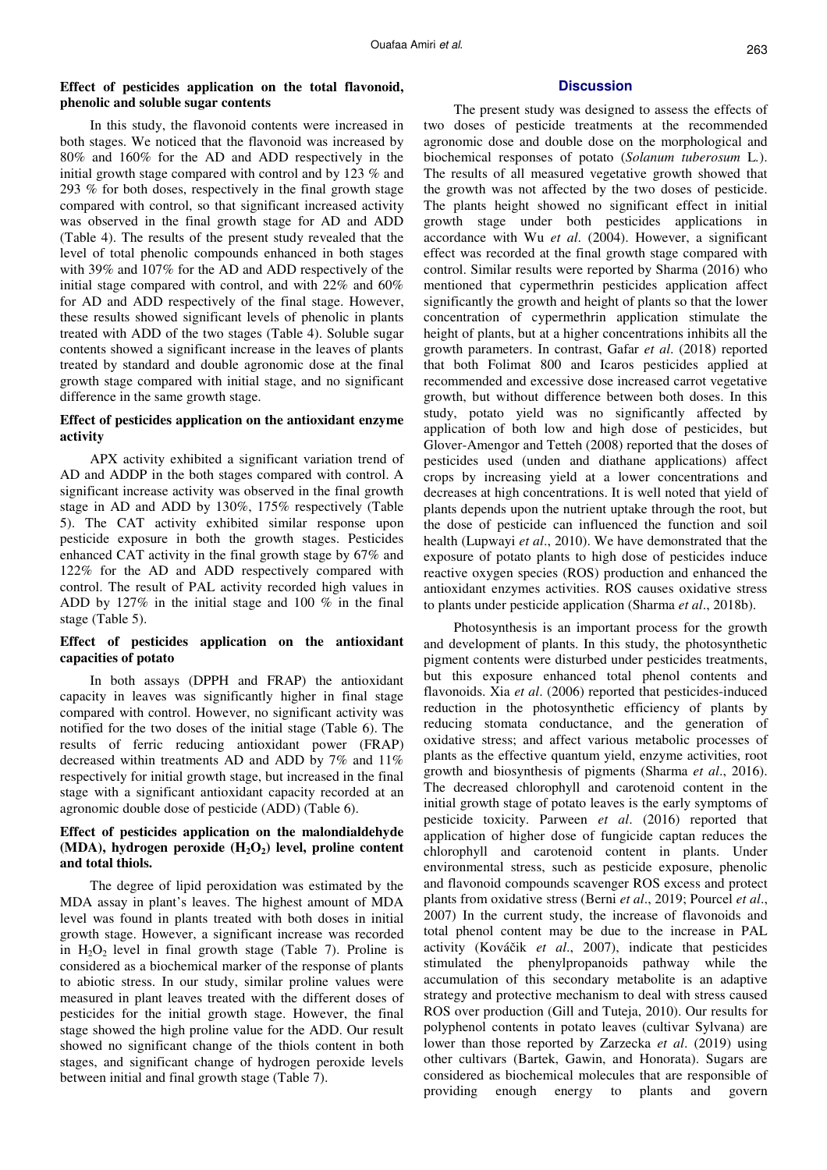# **Effect of pesticides application on the total flavonoid, phenolic and soluble sugar contents**

# In this study, the flavonoid contents were increased in both stages. We noticed that the flavonoid was increased by 80% and 160% for the AD and ADD respectively in the initial growth stage compared with control and by 123 % and 293 % for both doses, respectively in the final growth stage compared with control, so that significant increased activity was observed in the final growth stage for AD and ADD (Table 4). The results of the present study revealed that the level of total phenolic compounds enhanced in both stages with 39% and 107% for the AD and ADD respectively of the initial stage compared with control, and with 22% and 60% for AD and ADD respectively of the final stage. However, these results showed significant levels of phenolic in plants treated with ADD of the two stages (Table 4). Soluble sugar contents showed a significant increase in the leaves of plants treated by standard and double agronomic dose at the final growth stage compared with initial stage, and no significant

# **Effect of pesticides application on the antioxidant enzyme activity**

difference in the same growth stage.

APX activity exhibited a significant variation trend of AD and ADDP in the both stages compared with control. A significant increase activity was observed in the final growth stage in AD and ADD by 130%, 175% respectively (Table 5). The CAT activity exhibited similar response upon pesticide exposure in both the growth stages. Pesticides enhanced CAT activity in the final growth stage by 67% and 122% for the AD and ADD respectively compared with control. The result of PAL activity recorded high values in ADD by 127% in the initial stage and 100 % in the final stage (Table 5).

## **Effect of pesticides application on the antioxidant capacities of potato**

In both assays (DPPH and FRAP) the antioxidant capacity in leaves was significantly higher in final stage compared with control. However, no significant activity was notified for the two doses of the initial stage (Table 6). The results of ferric reducing antioxidant power (FRAP) decreased within treatments AD and ADD by 7% and 11% respectively for initial growth stage, but increased in the final stage with a significant antioxidant capacity recorded at an agronomic double dose of pesticide (ADD) (Table 6).

# **Effect of pesticides application on the malondialdehyde (MDA), hydrogen peroxide (H2O2) level, proline content and total thiols.**

The degree of lipid peroxidation was estimated by the MDA assay in plant's leaves. The highest amount of MDA level was found in plants treated with both doses in initial growth stage. However, a significant increase was recorded in  $H_2O_2$  level in final growth stage (Table 7). Proline is considered as a biochemical marker of the response of plants to abiotic stress. In our study, similar proline values were measured in plant leaves treated with the different doses of pesticides for the initial growth stage. However, the final stage showed the high proline value for the ADD. Our result showed no significant change of the thiols content in both stages, and significant change of hydrogen peroxide levels between initial and final growth stage (Table 7).

# **Discussion**

The present study was designed to assess the effects of two doses of pesticide treatments at the recommended agronomic dose and double dose on the morphological and biochemical responses of potato (*Solanum tuberosum* L*.*). The results of all measured vegetative growth showed that the growth was not affected by the two doses of pesticide. The plants height showed no significant effect in initial growth stage under both pesticides applications in accordance with Wu *et al*. (2004). However, a significant effect was recorded at the final growth stage compared with control. Similar results were reported by Sharma (2016) who mentioned that cypermethrin pesticides application affect significantly the growth and height of plants so that the lower concentration of cypermethrin application stimulate the height of plants, but at a higher concentrations inhibits all the growth parameters. In contrast, Gafar *et al*. (2018) reported that both Folimat 800 and Icaros pesticides applied at recommended and excessive dose increased carrot vegetative growth, but without difference between both doses. In this study, potato yield was no significantly affected by application of both low and high dose of pesticides, but Glover-Amengor and Tetteh (2008) reported that the doses of pesticides used (unden and diathane applications) affect crops by increasing yield at a lower concentrations and decreases at high concentrations. It is well noted that yield of plants depends upon the nutrient uptake through the root, but the dose of pesticide can influenced the function and soil health (Lupwayi *et al*., 2010). We have demonstrated that the exposure of potato plants to high dose of pesticides induce reactive oxygen species (ROS) production and enhanced the antioxidant enzymes activities. ROS causes oxidative stress to plants under pesticide application (Sharma *et al*., 2018b).

Photosynthesis is an important process for the growth and development of plants. In this study, the photosynthetic pigment contents were disturbed under pesticides treatments, but this exposure enhanced total phenol contents and flavonoids. Xia *et al*. (2006) reported that pesticides-induced reduction in the photosynthetic efficiency of plants by reducing stomata conductance, and the generation of oxidative stress; and affect various metabolic processes of plants as the effective quantum yield, enzyme activities, root growth and biosynthesis of pigments (Sharma *et al*., 2016). The decreased chlorophyll and carotenoid content in the initial growth stage of potato leaves is the early symptoms of pesticide toxicity. Parween *et al*. (2016) reported that application of higher dose of fungicide captan reduces the chlorophyll and carotenoid content in plants. Under environmental stress, such as pesticide exposure, phenolic and flavonoid compounds scavenger ROS excess and protect plants from oxidative stress (Berni *et al*., 2019; Pourcel *et al*., 2007) In the current study, the increase of flavonoids and total phenol content may be due to the increase in PAL activity (Kováčik *et al*., 2007), indicate that pesticides stimulated the phenylpropanoids pathway while the accumulation of this secondary metabolite is an adaptive strategy and protective mechanism to deal with stress caused ROS over production (Gill and Tuteja, 2010). Our results for polyphenol contents in potato leaves (cultivar Sylvana) are lower than those reported by Zarzecka *et al*. (2019) using other cultivars (Bartek, Gawin, and Honorata). Sugars are considered as biochemical molecules that are responsible of providing enough energy to plants and govern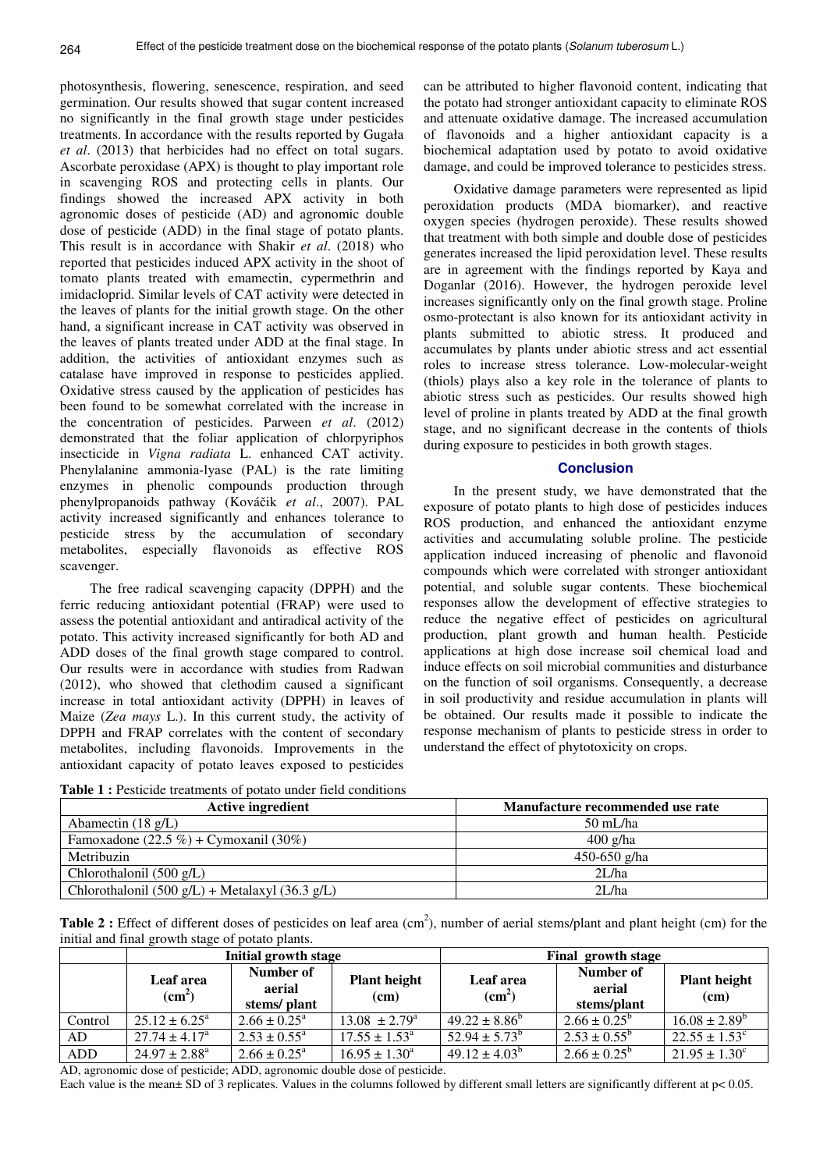photosynthesis, flowering, senescence, respiration, and seed germination. Our results showed that sugar content increased no significantly in the final growth stage under pesticides treatments. In accordance with the results reported by Gugała *et al*. (2013) that herbicides had no effect on total sugars. Ascorbate peroxidase (APX) is thought to play important role in scavenging ROS and protecting cells in plants. Our findings showed the increased APX activity in both agronomic doses of pesticide (AD) and agronomic double dose of pesticide (ADD) in the final stage of potato plants. This result is in accordance with Shakir *et al*. (2018) who reported that pesticides induced APX activity in the shoot of tomato plants treated with emamectin, cypermethrin and imidacloprid. Similar levels of CAT activity were detected in the leaves of plants for the initial growth stage. On the other hand, a significant increase in CAT activity was observed in the leaves of plants treated under ADD at the final stage. In addition, the activities of antioxidant enzymes such as catalase have improved in response to pesticides applied. Oxidative stress caused by the application of pesticides has been found to be somewhat correlated with the increase in the concentration of pesticides. Parween *et al*. (2012) demonstrated that the foliar application of chlorpyriphos insecticide in *Vigna radiata* L. enhanced CAT activity. Phenylalanine ammonia-lyase (PAL) is the rate limiting enzymes in phenolic compounds production through phenylpropanoids pathway (Kováčik *et al*., 2007). PAL activity increased significantly and enhances tolerance to pesticide stress by the accumulation of secondary metabolites, especially flavonoids as effective ROS scavenger.

The free radical scavenging capacity (DPPH) and the ferric reducing antioxidant potential (FRAP) were used to assess the potential antioxidant and antiradical activity of the potato. This activity increased significantly for both AD and ADD doses of the final growth stage compared to control. Our results were in accordance with studies from Radwan (2012), who showed that clethodim caused a significant increase in total antioxidant activity (DPPH) in leaves of Maize (*Zea mays* L.). In this current study, the activity of DPPH and FRAP correlates with the content of secondary metabolites, including flavonoids. Improvements in the antioxidant capacity of potato leaves exposed to pesticides

can be attributed to higher flavonoid content, indicating that the potato had stronger antioxidant capacity to eliminate ROS and attenuate oxidative damage. The increased accumulation of flavonoids and a higher antioxidant capacity is a biochemical adaptation used by potato to avoid oxidative damage, and could be improved tolerance to pesticides stress.

Oxidative damage parameters were represented as lipid peroxidation products (MDA biomarker), and reactive oxygen species (hydrogen peroxide). These results showed that treatment with both simple and double dose of pesticides generates increased the lipid peroxidation level. These results are in agreement with the findings reported by Kaya and Doganlar (2016). However, the hydrogen peroxide level increases significantly only on the final growth stage. Proline osmo-protectant is also known for its antioxidant activity in plants submitted to abiotic stress. It produced and accumulates by plants under abiotic stress and act essential roles to increase stress tolerance. Low-molecular-weight (thiols) plays also a key role in the tolerance of plants to abiotic stress such as pesticides. Our results showed high level of proline in plants treated by ADD at the final growth stage, and no significant decrease in the contents of thiols during exposure to pesticides in both growth stages.

# **Conclusion**

In the present study, we have demonstrated that the exposure of potato plants to high dose of pesticides induces ROS production, and enhanced the antioxidant enzyme activities and accumulating soluble proline. The pesticide application induced increasing of phenolic and flavonoid compounds which were correlated with stronger antioxidant potential, and soluble sugar contents. These biochemical responses allow the development of effective strategies to reduce the negative effect of pesticides on agricultural production, plant growth and human health. Pesticide applications at high dose increase soil chemical load and induce effects on soil microbial communities and disturbance on the function of soil organisms. Consequently, a decrease in soil productivity and residue accumulation in plants will be obtained. Our results made it possible to indicate the response mechanism of plants to pesticide stress in order to understand the effect of phytotoxicity on crops.

**Table 1 :** Pesticide treatments of potato under field conditions

| <b>Active ingredient</b>                                            | Manufacture recommended use rate |
|---------------------------------------------------------------------|----------------------------------|
| Abamectin $(18 \text{ g/L})$                                        | $50 \text{ mL/ha}$               |
| Famoxadone (22.5 %) + Cymoxanil (30%)                               | $400$ g/ha                       |
| Metribuzin                                                          | 450-650 g/ha                     |
| Chlorothalonil $(500 \text{ g/L})$                                  | 2L/ha                            |
| Chlorothalonil $(500 \text{ g/L})$ + Metalaxyl $(36.3 \text{ g/L})$ | 2L/ha                            |

**Table 2**: Effect of different doses of pesticides on leaf area (cm<sup>2</sup>), number of aerial stems/plant and plant height (cm) for the initial and final growth stage of potato plants.

|         |                                                                       | Initial growth stage       |                             | Final growth stage              |                                    |                               |  |
|---------|-----------------------------------------------------------------------|----------------------------|-----------------------------|---------------------------------|------------------------------------|-------------------------------|--|
|         | Number of<br>Leaf area<br>aerial<br>(cm <sup>2</sup> )<br>stems/plant |                            | <b>Plant height</b><br>(cm) | Leaf area<br>(cm <sup>2</sup> ) | Number of<br>aerial<br>stems/plant | <b>Plant height</b><br>(cm)   |  |
| Control | $25.12 \pm 6.25^{\circ}$                                              | $2.66 \pm 0.25^{\text{a}}$ | $13.08 \pm 2.79^{\circ}$    | $49.22 \pm 8.86^{\circ}$        | $2.66 \pm 0.25^{\circ}$            | $16.08 \pm 2.89^b$            |  |
| AD      | $27.74 \pm 4.17^{\circ}$                                              | $2.53 \pm 0.55^{\circ}$    | $17.55 \pm 1.53^{\circ}$    | $52.94 \pm 5.73^b$              | $2.53 \pm 0.55^{\rm b}$            | $22.55 \pm 1.53$ <sup>c</sup> |  |
| ADD     | $24.97 \pm 2.88^{\circ}$                                              | $2.66 \pm 0.25^{\text{a}}$ | $16.95 \pm 1.30^a$          | $49.12 \pm 4.03^b$              | $2.66 \pm 0.25^{\rm b}$            | $21.95 \pm 1.30^{\circ}$      |  |

AD, agronomic dose of pesticide; ADD, agronomic double dose of pesticide.

Each value is the mean± SD of 3 replicates. Values in the columns followed by different small letters are significantly different at p< 0.05.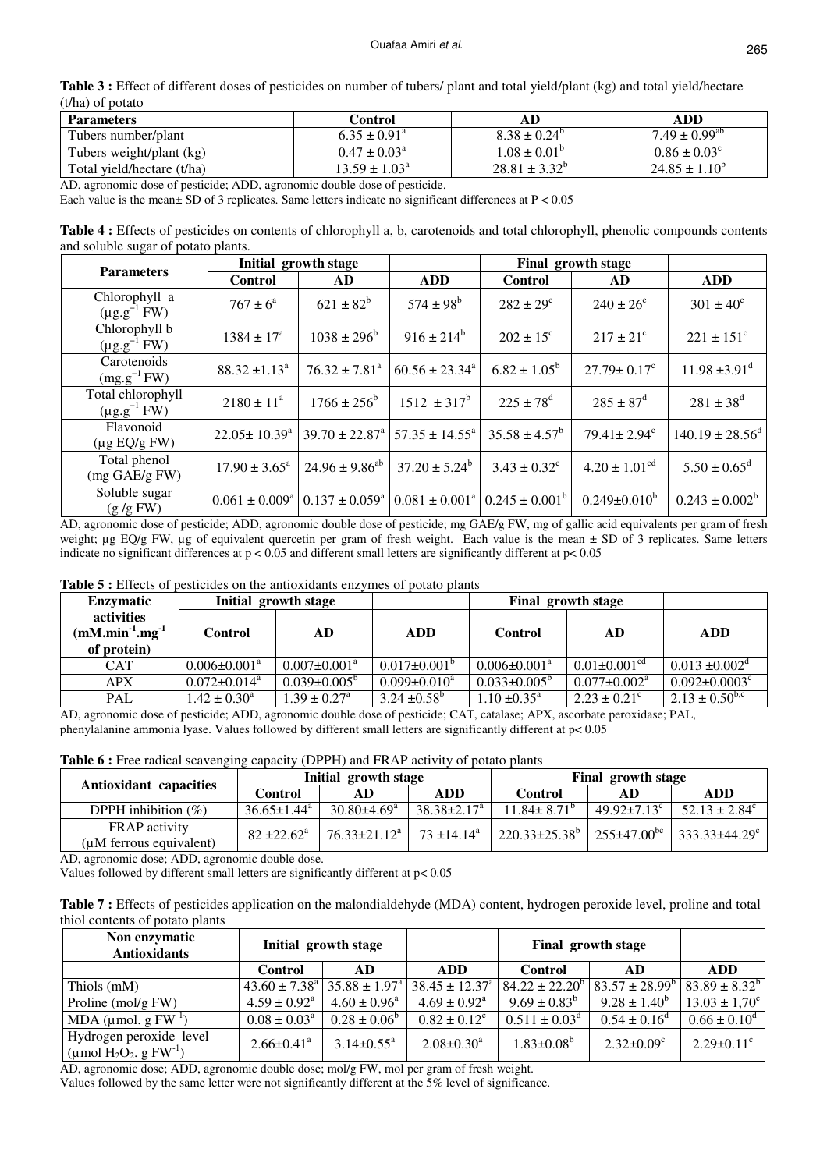| Table 3 : Effect of different doses of pesticides on number of tubers/ plant and total yield/plant (kg) and total yield/hectare |  |
|---------------------------------------------------------------------------------------------------------------------------------|--|
| (t/ha) of potato                                                                                                                |  |

| <b>Parameters</b>          | Control                  | AD                       | ADD                      |  |
|----------------------------|--------------------------|--------------------------|--------------------------|--|
| Tubers number/plant        | $6.35 \pm 0.91^{\circ}$  | $8.38 \pm 0.24^{\circ}$  | $7.49 \pm 0.99^{\rm ab}$ |  |
| Tubers weight/plant (kg)   | $0.47 \pm 0.03^{\circ}$  | $1.08 \pm 0.01^{\circ}$  | $0.86 \pm 0.03^{\circ}$  |  |
| Total yield/hectare (t/ha) | $13.59 \pm 1.03^{\circ}$ | $28.81 \pm 3.32^{\circ}$ | $24.85 \pm 1.10^{\circ}$ |  |

AD, agronomic dose of pesticide; ADD, agronomic double dose of pesticide.

Each value is the mean± SD of 3 replicates. Same letters indicate no significant differences at P < 0.05

**Table 4 :** Effects of pesticides on contents of chlorophyll a, b, carotenoids and total chlorophyll, phenolic compounds contents and soluble sugar of potato plants.

| <b>Parameters</b>                        | Initial growth stage      |                        |                                                                                                                       | Final growth stage        |                               |                               |
|------------------------------------------|---------------------------|------------------------|-----------------------------------------------------------------------------------------------------------------------|---------------------------|-------------------------------|-------------------------------|
|                                          | <b>Control</b>            | AD                     | <b>ADD</b>                                                                                                            | <b>Control</b>            | <b>AD</b>                     | <b>ADD</b>                    |
| Chlorophyll a<br>$(\mu g.g^{-1} FW)$     | $767 \pm 6^{\circ}$       | $621 \pm 82^b$         | $574 \pm 98^{\rm b}$                                                                                                  | $282 \pm 29^{\circ}$      | $240 \pm 26^{\circ}$          | $301 \pm 40^{\circ}$          |
| Chlorophyll b<br>$(\mu g.g^{-1} FW)$     | $1384 \pm 17^a$           | $1038 \pm 296^{\rm b}$ | $916 \pm 214^b$                                                                                                       | $202 \pm 15^{\circ}$      | $217 \pm 21^{\circ}$          | $221 \pm 151$ <sup>c</sup>    |
| Carotenoids<br>$(mg.g^{-1}FW)$           | $88.32 \pm 1.13^a$        | $76.32 \pm 7.81^a$     | $60.56 \pm 23.34^a$                                                                                                   | $6.82 \pm 1.05^b$         | $27.79 \pm 0.17$ <sup>c</sup> | $11.98 \pm 3.91$ <sup>d</sup> |
| Total chlorophyll<br>$(\mu g.g^{-1} FW)$ | $2180 \pm 11^a$           | $1766 \pm 256^b$       | $1512 \pm 317^b$                                                                                                      | $225 \pm 78$ <sup>d</sup> | $285 \pm 87$ <sup>d</sup>     | $281 \pm 38$ <sup>d</sup>     |
| Flavonoid<br>$(\mu g EQ/g FW)$           | $22.05 \pm 10.39^{\circ}$ |                        | $39.70 \pm 22.87^{\circ}$ 57.35 $\pm$ 14.55 <sup>°</sup>                                                              | $35.58 \pm 4.57^b$        | $79.41 \pm 2.94$ <sup>c</sup> | $140.19 \pm 28.56^{\text{d}}$ |
| Total phenol<br>$(mg \text{ GAE/g FW})$  | $17.90 \pm 3.65^{\circ}$  | $24.96 \pm 9.86^{ab}$  | $37.20 \pm 5.24^b$                                                                                                    | $3.43 \pm 0.32^{\circ}$   | $4.20 \pm 1.01^{\text{cd}}$   | $5.50 \pm 0.65^{\rm d}$       |
| Soluble sugar<br>(g/gFW)                 |                           |                        | $0.061 \pm 0.009^{\circ}$ $\vert 0.137 \pm 0.059^{\circ} \vert 0.081 \pm 0.001^{\circ} \vert 0.245 \pm 0.001^{\circ}$ |                           | $0.249 \pm 0.010^b$           | $0.243 \pm 0.002^b$           |

AD, agronomic dose of pesticide; ADD, agronomic double dose of pesticide; mg GAE/g FW, mg of gallic acid equivalents per gram of fresh weight;  $\mu$ g EQ/g FW,  $\mu$ g of equivalent quercetin per gram of fresh weight. Each value is the mean  $\pm$  SD of 3 replicates. Same letters indicate no significant differences at  $p < 0.05$  and different small letters are significantly different at  $p < 0.05$ 

**Table 5 :** Effects of pesticides on the antioxidants enzymes of potato plants

| <b>Enzymatic</b>                               | Initial growth stage           |                                |                           | Final growth stage             |                                |                                 |
|------------------------------------------------|--------------------------------|--------------------------------|---------------------------|--------------------------------|--------------------------------|---------------------------------|
| activities<br>$(mM.min-1.mg-1)$<br>of protein) | <b>Control</b>                 | AD                             | <b>ADD</b>                | Control                        | AD                             | <b>ADD</b>                      |
| <b>CAT</b>                                     | $0.006 \pm 0.001$ <sup>a</sup> | $0.007 \pm 0.001$ <sup>a</sup> | $0.017 \pm 0.001^{\circ}$ | $0.006 \pm 0.001$ <sup>a</sup> | $0.01 \pm 0.001$ <sup>cd</sup> | $0.013 \pm 0.002$ <sup>d</sup>  |
| APX                                            | $0.072 \pm 0.014$ <sup>a</sup> | $0.039 \pm 0.005^{\rm b}$      | $0.099 \pm 0.010^a$       | $0.033 \pm 0.005^b$            | $0.077 \pm 0.002$ <sup>a</sup> | $0.092 \pm 0.0003$ <sup>c</sup> |
| <b>PAL</b>                                     | $1.42 \pm 0.30^{\circ}$        | $1.39 \pm 0.27$ <sup>a</sup>   | $3.24 + 0.58^b$           | $1.10 \pm 0.35^{\text{a}}$     | $2.23 \pm 0.21^{\circ}$        | $2.13 \pm 0.50^{b,c}$           |

AD, agronomic dose of pesticide; ADD, agronomic double dose of pesticide; CAT, catalase; APX, ascorbate peroxidase; PAL, phenylalanine ammonia lyase. Values followed by different small letters are significantly different at p< 0.05

**Table 6 :** Free radical scavenging capacity (DPPH) and FRAP activity of potato plants

| Antioxidant capacities                          | Initial growth stage        |                                |                          | Final growth stage       |                               |                                                     |
|-------------------------------------------------|-----------------------------|--------------------------------|--------------------------|--------------------------|-------------------------------|-----------------------------------------------------|
|                                                 | Control                     | AD                             | ADD                      | <b>Control</b>           | AD                            | ADD                                                 |
| DPPH inhibition $(\% )$                         | $36.65 \pm 1.44^{\text{a}}$ | $30.80\pm4.69^{\circ}$         | $38.38 \pm 2.17^{\circ}$ | $11.84 \pm 8.71^{\circ}$ | 49.92 $\pm$ 7.13 <sup>c</sup> | $52.13 \pm 2.84^{\circ}$                            |
| <b>FRAP</b> activity<br>(uM ferrous equivalent) | $82 \pm 22.62^{\circ}$      | $76.33 \pm 21.12^{\mathrm{a}}$ | $73 + 14.14^a$           | $220.33\pm25.38^{\circ}$ |                               | $+255\pm47.00^{bc}$ 333.33 $\pm$ 44.29 <sup>c</sup> |

AD, agronomic dose; ADD, agronomic double dose.

Values followed by different small letters are significantly different at p< 0.05

**Table 7 :** Effects of pesticides application on the malondialdehyde (MDA) content, hydrogen peroxide level, proline and total thiol contents of potato plants

| Non enzymatic<br><b>Antioxidants</b>                      | Initial growth stage          |                             |                                | Final growth stage          |                              |                              |
|-----------------------------------------------------------|-------------------------------|-----------------------------|--------------------------------|-----------------------------|------------------------------|------------------------------|
|                                                           | <b>Control</b>                | AD                          | ADD.                           | Control                     | AD.                          | <b>ADD</b>                   |
| Thiols (mM)                                               | $43.60 \pm 7.38$ <sup>a</sup> | $35.88 \pm 1.97^{\text{a}}$ | $38.45 \pm 12.37$ <sup>a</sup> | $84.22 \pm 22.20^b$         | $83.57 \pm 28.99^b$          | $83.89 \pm 8.32^b$           |
| Proline (mol/g FW)                                        | $4.59 \pm 0.92^{\text{a}}$    | $4.60 \pm 0.96^{\circ}$     | $4.69 \pm 0.92^{\text{a}}$     | $9.69 \pm 0.83^b$           | $9.28 \pm 1.40^b$            | $13.03 \pm 1.70^{\circ}$     |
| MDA (µmol. $g F W^{-1}$ )                                 | $0.08 \pm 0.03^{\circ}$       | $0.28 \pm 0.06^b$           | $0.82 \pm 0.12^c$              | $0.511 \pm 0.03^{\text{d}}$ | $0.54 \pm 0.16^{\text{d}}$   | $0.66 \pm 0.10^d$            |
| Hydrogen peroxide level<br>(µmol $H_2O_2$ , g $FW^{-1}$ ) | $2.66 \pm 0.41$ <sup>a</sup>  | $3.14 \pm 0.55^{\text{a}}$  | $2.08 \pm 0.30^a$              | $1.83 \pm 0.08^b$           | $2.32 \pm 0.09$ <sup>c</sup> | $2.29 \pm 0.11$ <sup>c</sup> |

AD, agronomic dose; ADD, agronomic double dose; mol/g FW, mol per gram of fresh weight.

Values followed by the same letter were not significantly different at the 5% level of significance.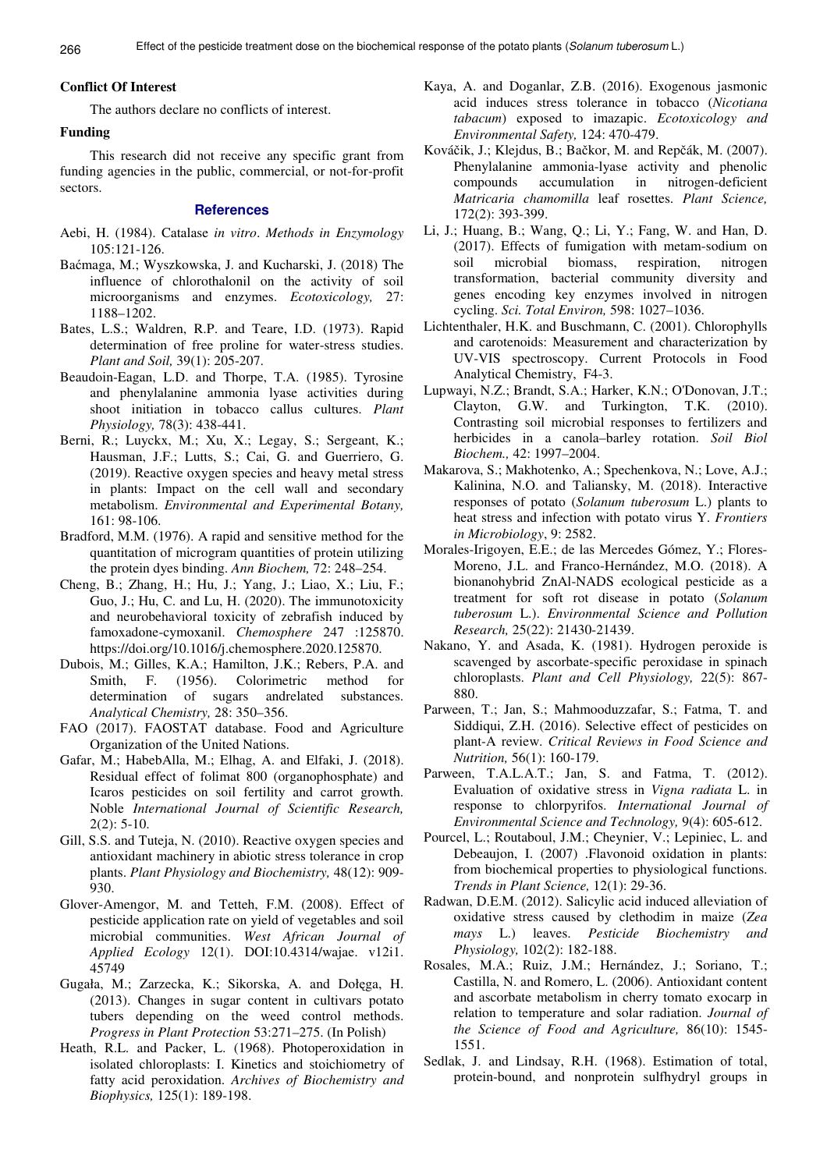# **Conflict Of Interest**

The authors declare no conflicts of interest.

# **Funding**

This research did not receive any specific grant from funding agencies in the public, commercial, or not-for-profit sectors.

#### **References**

- Aebi, H. (1984). Catalase *in vitro*. *Methods in Enzymology* 105:121-126.
- Baćmaga, M.; Wyszkowska, J. and Kucharski, J. (2018) The influence of chlorothalonil on the activity of soil microorganisms and enzymes. *Ecotoxicology,* 27: 1188–1202.
- Bates, L.S.; Waldren, R.P. and Teare, I.D. (1973). Rapid determination of free proline for water-stress studies. *Plant and Soil,* 39(1): 205-207.
- Beaudoin-Eagan, L.D. and Thorpe, T.A. (1985). Tyrosine and phenylalanine ammonia lyase activities during shoot initiation in tobacco callus cultures. *Plant Physiology,* 78(3): 438-441.
- Berni, R.; Luyckx, M.; Xu, X.; Legay, S.; Sergeant, K.; Hausman, J.F.; Lutts, S.; Cai, G. and Guerriero, G. (2019). Reactive oxygen species and heavy metal stress in plants: Impact on the cell wall and secondary metabolism. *Environmental and Experimental Botany,* 161: 98-106.
- Bradford, M.M. (1976). A rapid and sensitive method for the quantitation of microgram quantities of protein utilizing the protein dyes binding. *Ann Biochem,* 72: 248–254.
- Cheng, B.; Zhang, H.; Hu, J.; Yang, J.; Liao, X.; Liu, F.; Guo, J.; Hu, C. and Lu, H. (2020). The immunotoxicity and neurobehavioral toxicity of zebrafish induced by famoxadone-cymoxanil. *Chemosphere* 247 :125870. https://doi.org/10.1016/j.chemosphere.2020.125870.
- Dubois, M.; Gilles, K.A.; Hamilton, J.K.; Rebers, P.A. and Smith, F. (1956). Colorimetric method for determination of sugars andrelated substances. *Analytical Chemistry,* 28: 350–356.
- FAO (2017). FAOSTAT database. Food and Agriculture Organization of the United Nations.
- Gafar, M.; HabebAlla, M.; Elhag, A. and Elfaki, J. (2018). Residual effect of folimat 800 (organophosphate) and Icaros pesticides on soil fertility and carrot growth. Noble *International Journal of Scientific Research,*  $2(2)$ : 5-10.
- Gill, S.S. and Tuteja, N. (2010). Reactive oxygen species and antioxidant machinery in abiotic stress tolerance in crop plants. *Plant Physiology and Biochemistry,* 48(12): 909- 930.
- Glover-Amengor, M. and Tetteh, F.M. (2008). Effect of pesticide application rate on yield of vegetables and soil microbial communities. *West African Journal of Applied Ecology* 12(1). DOI:10.4314/wajae. v12i1. 45749
- Gugała, M.; Zarzecka, K.; Sikorska, A. and Dołęga, H. (2013). Changes in sugar content in cultivars potato tubers depending on the weed control methods. *Progress in Plant Protection* 53:271–275. (In Polish)
- Heath, R.L. and Packer, L. (1968). Photoperoxidation in isolated chloroplasts: I. Kinetics and stoichiometry of fatty acid peroxidation. *Archives of Biochemistry and Biophysics,* 125(1): 189-198.
- Kaya, A. and Doganlar, Z.B. (2016). Exogenous jasmonic acid induces stress tolerance in tobacco (*Nicotiana tabacum*) exposed to imazapic. *Ecotoxicology and Environmental Safety,* 124: 470-479.
- Kováčik, J.; Klejdus, B.; Bačkor, M. and Repčák, M. (2007). Phenylalanine ammonia-lyase activity and phenolic compounds accumulation in nitrogen-deficient *Matricaria chamomilla* leaf rosettes. *Plant Science,* 172(2): 393-399.
- Li, J.; Huang, B.; Wang, Q.; Li, Y.; Fang, W. and Han, D. (2017). Effects of fumigation with metam-sodium on soil microbial biomass, respiration, nitrogen transformation, bacterial community diversity and genes encoding key enzymes involved in nitrogen cycling. *Sci. Total Environ,* 598: 1027–1036.
- Lichtenthaler, H.K. and Buschmann, C. (2001). Chlorophylls and carotenoids: Measurement and characterization by UV-VIS spectroscopy. Current Protocols in Food Analytical Chemistry, F4-3.
- Lupwayi, N.Z.; Brandt, S.A.; Harker, K.N.; O'Donovan, J.T.; Clayton, G.W. and Turkington, T.K. (2010). Contrasting soil microbial responses to fertilizers and herbicides in a canola–barley rotation. *Soil Biol Biochem.,* 42: 1997–2004.
- Makarova, S.; Makhotenko, A.; Spechenkova, N.; Love, A.J.; Kalinina, N.O. and Taliansky, M. (2018). Interactive responses of potato (*Solanum tuberosum* L.) plants to heat stress and infection with potato virus Y. *Frontiers in Microbiology*, 9: 2582.
- Morales-Irigoyen, E.E.; de las Mercedes Gómez, Y.; Flores-Moreno, J.L. and Franco-Hernández, M.O. (2018). A bionanohybrid ZnAl-NADS ecological pesticide as a treatment for soft rot disease in potato (*Solanum tuberosum* L.). *Environmental Science and Pollution Research,* 25(22): 21430-21439.
- Nakano, Y. and Asada, K. (1981). Hydrogen peroxide is scavenged by ascorbate-specific peroxidase in spinach chloroplasts. *Plant and Cell Physiology,* 22(5): 867- 880.
- Parween, T.; Jan, S.; Mahmooduzzafar, S.; Fatma, T. and Siddiqui, Z.H. (2016). Selective effect of pesticides on plant-A review. *Critical Reviews in Food Science and Nutrition,* 56(1): 160-179.
- Parween, T.A.L.A.T.; Jan, S. and Fatma, T. (2012). Evaluation of oxidative stress in *Vigna radiata* L. in response to chlorpyrifos. *International Journal of Environmental Science and Technology,* 9(4): 605-612.
- Pourcel, L.; Routaboul, J.M.; Cheynier, V.; Lepiniec, L. and Debeaujon, I. (2007) .Flavonoid oxidation in plants: from biochemical properties to physiological functions. *Trends in Plant Science,* 12(1): 29-36.
- Radwan, D.E.M. (2012). Salicylic acid induced alleviation of oxidative stress caused by clethodim in maize (*Zea mays* L.) leaves. *Pesticide Biochemistry and Physiology,* 102(2): 182-188.
- Rosales, M.A.; Ruiz, J.M.; Hernández, J.; Soriano, T.; Castilla, N. and Romero, L. (2006). Antioxidant content and ascorbate metabolism in cherry tomato exocarp in relation to temperature and solar radiation. *Journal of the Science of Food and Agriculture,* 86(10): 1545- 1551.
- Sedlak, J. and Lindsay, R.H. (1968). Estimation of total, protein-bound, and nonprotein sulfhydryl groups in